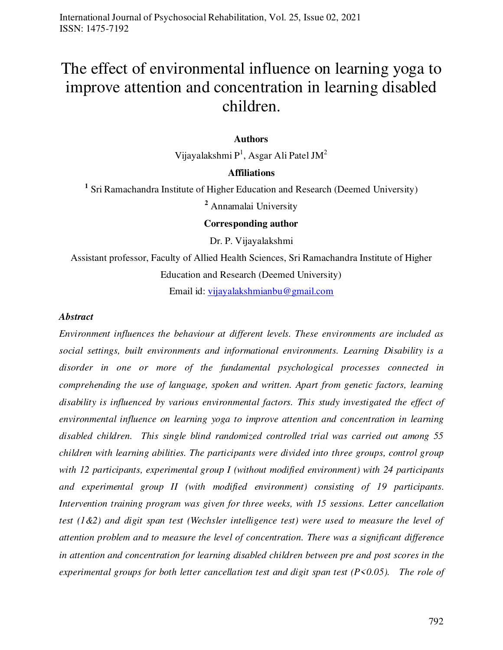# The effect of environmental influence on learning yoga to improve attention and concentration in learning disabled children.

#### **Authors**

Vijayalakshmi  $P^1$ , Asgar Ali Patel JM $^2$ 

## **Affiliations**

<sup>1</sup> Sri Ramachandra Institute of Higher Education and Research (Deemed University)

**<sup>2</sup>** Annamalai University

**Corresponding author** 

Dr. P. Vijayalakshmi

Assistant professor, Faculty of Allied Health Sciences, Sri Ramachandra Institute of Higher Education and Research (Deemed University)

Email id: [vijayalakshmianbu@gmail.com](mailto:vijayalakshmianbu@gmail.com) 

#### *Abstract*

*Environment influences the behaviour at different levels. These environments are included as social settings, built environments and informational environments. Learning Disability is a disorder in one or more of the fundamental psychological processes connected in comprehending the use of language, spoken and written. Apart from genetic factors, learning disability is influenced by various environmental factors. This study investigated the effect of environmental influence on learning yoga to improve attention and concentration in learning disabled children. This single blind randomized controlled trial was carried out among 55 children with learning abilities. The participants were divided into three groups, control group with 12 participants, experimental group I (without modified environment) with 24 participants and experimental group II (with modified environment) consisting of 19 participants. Intervention training program was given for three weeks, with 15 sessions. Letter cancellation test (1&2) and digit span test (Wechsler intelligence test) were used to measure the level of attention problem and to measure the level of concentration. There was a significant difference in attention and concentration for learning disabled children between pre and post scores in the experimental groups for both letter cancellation test and digit span test (P<0.05). The role of*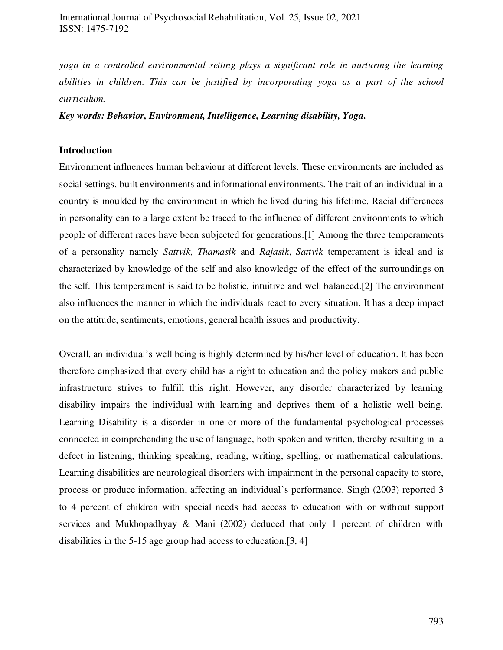*yoga in a controlled environmental setting plays a significant role in nurturing the learning abilities in children. This can be justified by incorporating yoga as a part of the school curriculum.* 

*Key words: Behavior, Environment, Intelligence, Learning disability, Yoga.*

### **Introduction**

Environment influences human behaviour at different levels. These environments are included as social settings, built environments and informational environments. The trait of an individual in a country is moulded by the environment in which he lived during his lifetime. Racial differences in personality can to a large extent be traced to the influence of different environments to which people of different races have been subjected for generations.[1] Among the three temperaments of a personality namely *Sattvik, Thamasik* and *Rajasik*, *Sattvik* temperament is ideal and is characterized by knowledge of the self and also knowledge of the effect of the surroundings on the self. This temperament is said to be holistic, intuitive and well balanced.[2] The environment also influences the manner in which the individuals react to every situation. It has a deep impact on the attitude, sentiments, emotions, general health issues and productivity.

Overall, an individual's well being is highly determined by his/her level of education. It has been therefore emphasized that every child has a right to education and the policy makers and public infrastructure strives to fulfill this right. However, any disorder characterized by learning disability impairs the individual with learning and deprives them of a holistic well being. Learning Disability is a disorder in one or more of the fundamental psychological processes connected in comprehending the use of language, both spoken and written, thereby resulting in a defect in listening, thinking speaking, reading, writing, spelling, or mathematical calculations. Learning disabilities are neurological disorders with impairment in the personal capacity to store, process or produce information, affecting an individual's performance. Singh (2003) reported 3 to 4 percent of children with special needs had access to education with or without support services and Mukhopadhyay & Mani (2002) deduced that only 1 percent of children with disabilities in the 5-15 age group had access to education.[3, 4]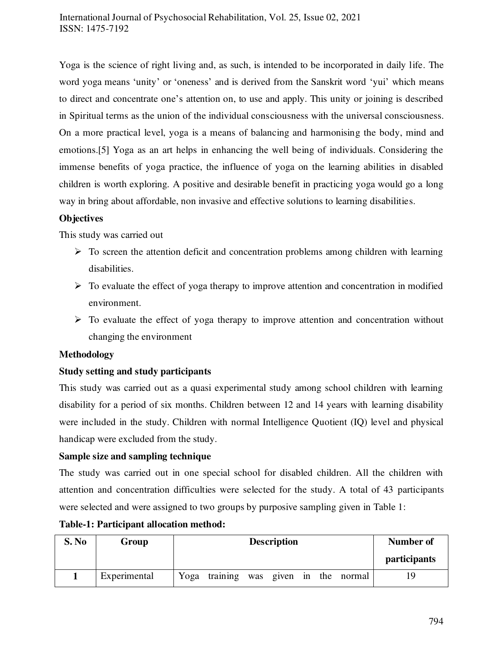Yoga is the science of right living and, as such, is intended to be incorporated in daily life. The word yoga means 'unity' or 'oneness' and is derived from the Sanskrit word 'yui' which means to direct and concentrate one's attention on, to use and apply. This unity or joining is described in Spiritual terms as the union of the individual consciousness with the universal consciousness. On a more practical level, yoga is a means of balancing and harmonising the body, mind and emotions.[5] Yoga as an art helps in enhancing the well being of individuals. Considering the immense benefits of yoga practice, the influence of yoga on the learning abilities in disabled children is worth exploring. A positive and desirable benefit in practicing yoga would go a long way in bring about affordable, non invasive and effective solutions to learning disabilities.

# **Objectives**

This study was carried out

- $\triangleright$  To screen the attention deficit and concentration problems among children with learning disabilities.
- $\triangleright$  To evaluate the effect of yoga therapy to improve attention and concentration in modified environment.
- $\triangleright$  To evaluate the effect of yoga therapy to improve attention and concentration without changing the environment

# **Methodology**

# **Study setting and study participants**

This study was carried out as a quasi experimental study among school children with learning disability for a period of six months. Children between 12 and 14 years with learning disability were included in the study. Children with normal Intelligence Quotient (IQ) level and physical handicap were excluded from the study.

## **Sample size and sampling technique**

The study was carried out in one special school for disabled children. All the children with attention and concentration difficulties were selected for the study. A total of 43 participants were selected and were assigned to two groups by purposive sampling given in Table 1:

| S. No | Group        | <b>Description</b>                       | Number of           |
|-------|--------------|------------------------------------------|---------------------|
|       |              |                                          | <i>participants</i> |
|       | Experimental | training was given in the normal<br>Yoga | 19                  |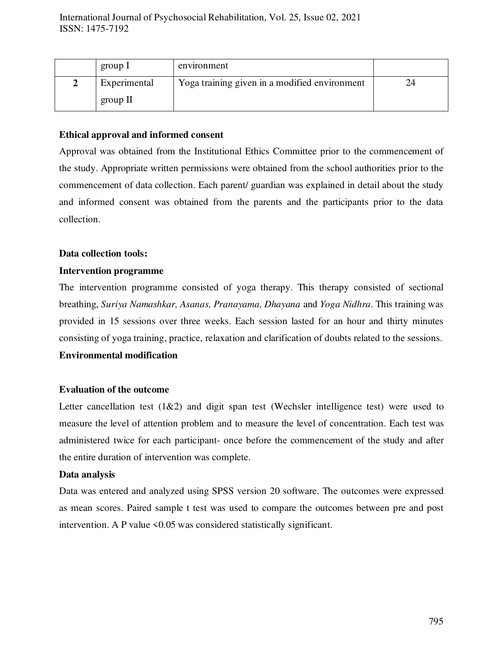| group 1      | environment                                   |    |
|--------------|-----------------------------------------------|----|
| Experimental | Yoga training given in a modified environment | 24 |
| group $II$   |                                               |    |

# **Ethical approval and informed consent**

Approval was obtained from the Institutional Ethics Committee prior to the commencement of the study. Appropriate written permissions were obtained from the school authorities prior to the commencement of data collection. Each parent/ guardian was explained in detail about the study and informed consent was obtained from the parents and the participants prior to the data collection.

### **Data collection tools:**

# **Intervention programme**

The intervention programme consisted of yoga therapy. This therapy consisted of sectional breathing, *Suriya Namashkar, Asanas, Pranayama, Dhayana* and *Yoga Nidhra*. This training was provided in 15 sessions over three weeks. Each session lasted for an hour and thirty minutes consisting of yoga training, practice, relaxation and clarification of doubts related to the sessions.

## **Environmental modification**

# **Evaluation of the outcome**

Letter cancellation test  $(1\&2)$  and digit span test (Wechsler intelligence test) were used to measure the level of attention problem and to measure the level of concentration. Each test was administered twice for each participant- once before the commencement of the study and after the entire duration of intervention was complete.

## **Data analysis**

Data was entered and analyzed using SPSS version 20 software. The outcomes were expressed as mean scores. Paired sample t test was used to compare the outcomes between pre and post intervention. A P value <0.05 was considered statistically significant.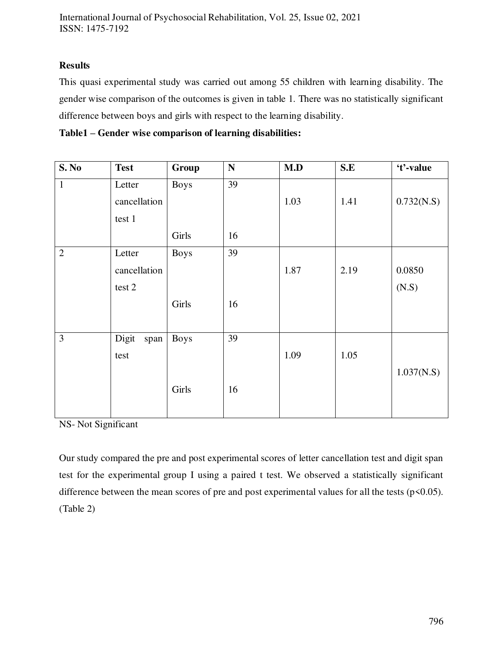# **Results**

This quasi experimental study was carried out among 55 children with learning disability. The gender wise comparison of the outcomes is given in table 1. There was no statistically significant difference between boys and girls with respect to the learning disability.

| Table1 – Gender wise comparison of learning disabilities: |  |  |  |  |
|-----------------------------------------------------------|--|--|--|--|
|-----------------------------------------------------------|--|--|--|--|

| <b>S. No</b>   | <b>Test</b>   | Group       | ${\bf N}$ | M.D  | S.E  | 't'-value  |
|----------------|---------------|-------------|-----------|------|------|------------|
| $\mathbf{1}$   | Letter        | <b>Boys</b> | 39        |      |      |            |
|                | cancellation  |             |           | 1.03 | 1.41 | 0.732(N.S) |
|                | test 1        |             |           |      |      |            |
|                |               | Girls       | 16        |      |      |            |
| $\overline{2}$ | Letter        | <b>Boys</b> | 39        |      |      |            |
|                | cancellation  |             |           | 1.87 | 2.19 | 0.0850     |
|                | test 2        |             |           |      |      | (N.S)      |
|                |               | Girls       | 16        |      |      |            |
|                |               |             |           |      |      |            |
| 3              | Digit<br>span | <b>Boys</b> | 39        |      |      |            |
|                | test          |             |           | 1.09 | 1.05 |            |
|                |               |             |           |      |      | 1.037(N.S) |
|                |               | Girls       | 16        |      |      |            |
|                |               |             |           |      |      |            |

NS- Not Significant

Our study compared the pre and post experimental scores of letter cancellation test and digit span test for the experimental group I using a paired t test. We observed a statistically significant difference between the mean scores of pre and post experimental values for all the tests ( $p \le 0.05$ ). (Table 2)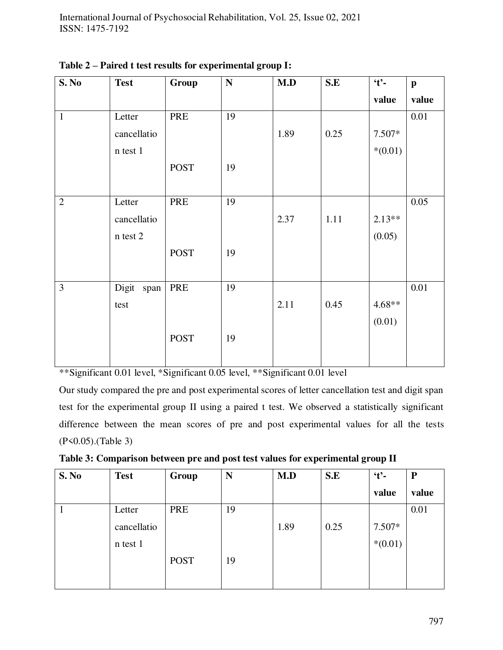| S. No          | <b>Test</b>   | Group       | ${\bf N}$ | M.D  | S.E  | $\cdot t$ . | $\mathbf{p}$ |
|----------------|---------------|-------------|-----------|------|------|-------------|--------------|
|                |               |             |           |      |      | value       | value        |
| $\mathbf{1}$   | Letter        | PRE         | 19        |      |      |             | 0.01         |
|                | cancellatio   |             |           | 1.89 | 0.25 | 7.507*      |              |
|                | n test 1      |             |           |      |      | $*(0.01)$   |              |
|                |               | <b>POST</b> | 19        |      |      |             |              |
|                |               |             |           |      |      |             |              |
| $\overline{2}$ | Letter        | PRE         | 19        |      |      |             | 0.05         |
|                | cancellatio   |             |           | 2.37 | 1.11 | $2.13**$    |              |
|                | n test 2      |             |           |      |      | (0.05)      |              |
|                |               | <b>POST</b> | 19        |      |      |             |              |
|                |               |             |           |      |      |             |              |
| 3              | Digit<br>span | PRE         | 19        |      |      |             | 0.01         |
|                | test          |             |           | 2.11 | 0.45 | $4.68**$    |              |
|                |               |             |           |      |      | (0.01)      |              |
|                |               | <b>POST</b> | 19        |      |      |             |              |
|                |               |             |           |      |      |             |              |

**Table 2 – Paired t test results for experimental group I:** 

\*\*Significant 0.01 level, \*Significant 0.05 level, \*\*Significant 0.01 level

Our study compared the pre and post experimental scores of letter cancellation test and digit span test for the experimental group II using a paired t test. We observed a statistically significant difference between the mean scores of pre and post experimental values for all the tests (P<0.05).(Table 3)

| S. No | <b>Test</b> | Group       | N  | M.D  | S.E  | $\mathbf{t}$ . | $\mathbf P$ |
|-------|-------------|-------------|----|------|------|----------------|-------------|
|       |             |             |    |      |      | value          | value       |
|       | Letter      | PRE         | 19 |      |      |                | 0.01        |
|       | cancellatio |             |    | 1.89 | 0.25 | 7.507*         |             |
|       | n test 1    |             |    |      |      | $*(0.01)$      |             |
|       |             | <b>POST</b> | 19 |      |      |                |             |
|       |             |             |    |      |      |                |             |

**Table 3: Comparison between pre and post test values for experimental group II**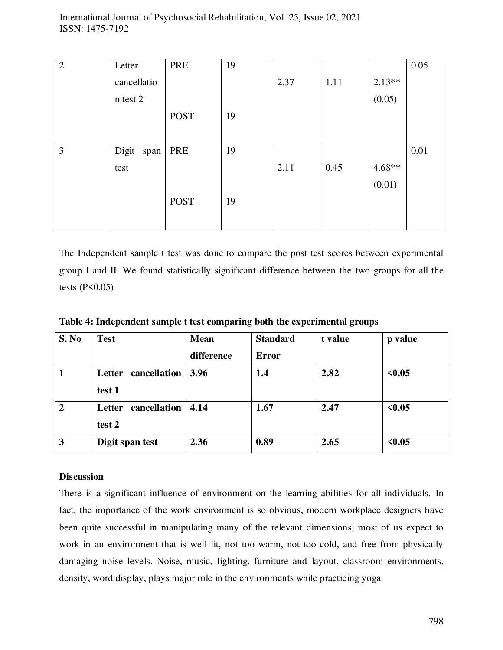| $\overline{2}$ | Letter        | PRE         | 19 |      |      |          | 0.05 |
|----------------|---------------|-------------|----|------|------|----------|------|
|                | cancellatio   |             |    | 2.37 | 1.11 | $2.13**$ |      |
|                | n test 2      |             |    |      |      | (0.05)   |      |
|                |               | <b>POST</b> | 19 |      |      |          |      |
|                |               |             |    |      |      |          |      |
| 3              | Digit<br>span | PRE         | 19 |      |      |          | 0.01 |
|                | test          |             |    | 2.11 | 0.45 | $4.68**$ |      |
|                |               |             |    |      |      | (0.01)   |      |
|                |               | <b>POST</b> | 19 |      |      |          |      |
|                |               |             |    |      |      |          |      |

The Independent sample t test was done to compare the post test scores between experimental group I and II. We found statistically significant difference between the two groups for all the tests  $(P<0.05)$ 

| S. No          | <b>Test</b>         | <b>Mean</b> | <b>Standard</b> | t value | p value |
|----------------|---------------------|-------------|-----------------|---------|---------|
|                |                     | difference  | <b>Error</b>    |         |         |
| 1              | Letter cancellation | 3.96        | 1.4             | 2.82    | < 0.05  |
|                | test 1              |             |                 |         |         |
| $\overline{2}$ | Letter cancellation | 4.14        | 1.67            | 2.47    | < 0.05  |
|                | test 2              |             |                 |         |         |
| 3              | Digit span test     | 2.36        | 0.89            | 2.65    | < 0.05  |

**Table 4: Independent sample t test comparing both the experimental groups** 

# **Discussion**

There is a significant influence of environment on the learning abilities for all individuals. In fact, the importance of the work environment is so obvious, modern workplace designers have been quite successful in manipulating many of the relevant dimensions, most of us expect to work in an environment that is well lit, not too warm, not too cold, and free from physically damaging noise levels. Noise, music, lighting, furniture and layout, classroom environments, density, word display, plays major role in the environments while practicing yoga.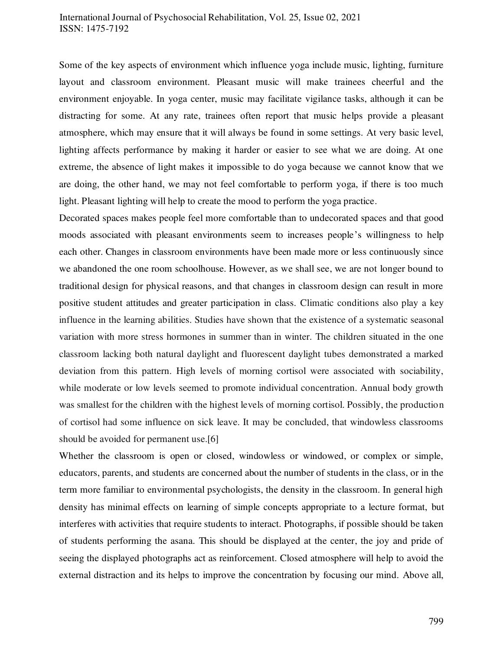## International Journal of Psychosocial Rehabilitation, Vol. 25, Issue 02, 2021 ISSN: 1475-7192

Some of the key aspects of environment which influence yoga include music, lighting, furniture layout and classroom environment. Pleasant music will make trainees cheerful and the environment enjoyable. In yoga center, music may facilitate vigilance tasks, although it can be distracting for some. At any rate, trainees often report that music helps provide a pleasant atmosphere, which may ensure that it will always be found in some settings. At very basic level, lighting affects performance by making it harder or easier to see what we are doing. At one extreme, the absence of light makes it impossible to do yoga because we cannot know that we are doing, the other hand, we may not feel comfortable to perform yoga, if there is too much light. Pleasant lighting will help to create the mood to perform the yoga practice.

Decorated spaces makes people feel more comfortable than to undecorated spaces and that good moods associated with pleasant environments seem to increases people's willingness to help each other. Changes in classroom environments have been made more or less continuously since we abandoned the one room schoolhouse. However, as we shall see, we are not longer bound to traditional design for physical reasons, and that changes in classroom design can result in more positive student attitudes and greater participation in class. Climatic conditions also play a key influence in the learning abilities. Studies have shown that the existence of a systematic seasonal variation with more stress hormones in summer than in winter. The children situated in the one classroom lacking both natural daylight and fluorescent daylight tubes demonstrated a marked deviation from this pattern. High levels of morning cortisol were associated with sociability, while moderate or low levels seemed to promote individual concentration. Annual body growth was smallest for the children with the highest levels of morning cortisol. Possibly, the production of cortisol had some influence on sick leave. It may be concluded, that windowless classrooms should be avoided for permanent use.[6]

Whether the classroom is open or closed, windowless or windowed, or complex or simple, educators, parents, and students are concerned about the number of students in the class, or in the term more familiar to environmental psychologists, the density in the classroom. In general high density has minimal effects on learning of simple concepts appropriate to a lecture format, but interferes with activities that require students to interact. Photographs, if possible should be taken of students performing the asana. This should be displayed at the center, the joy and pride of seeing the displayed photographs act as reinforcement. Closed atmosphere will help to avoid the external distraction and its helps to improve the concentration by focusing our mind. Above all,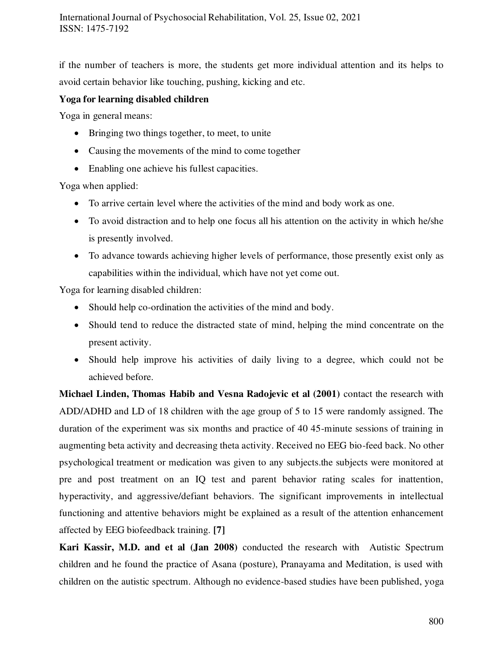if the number of teachers is more, the students get more individual attention and its helps to avoid certain behavior like touching, pushing, kicking and etc.

# **Yoga for learning disabled children**

Yoga in general means:

- Bringing two things together, to meet, to unite
- Causing the movements of the mind to come together
- Enabling one achieve his fullest capacities.

Yoga when applied:

- To arrive certain level where the activities of the mind and body work as one.
- To avoid distraction and to help one focus all his attention on the activity in which he/she is presently involved.
- To advance towards achieving higher levels of performance, those presently exist only as capabilities within the individual, which have not yet come out.

Yoga for learning disabled children:

- Should help co-ordination the activities of the mind and body.
- Should tend to reduce the distracted state of mind, helping the mind concentrate on the present activity.
- Should help improve his activities of daily living to a degree, which could not be achieved before.

**Michael Linden, Thomas Habib and Vesna Radojevic et al (2001)** contact the research with ADD/ADHD and LD of 18 children with the age group of 5 to 15 were randomly assigned. The duration of the experiment was six months and practice of 40 45-minute sessions of training in augmenting beta activity and decreasing theta activity. Received no EEG bio-feed back. No other psychological treatment or medication was given to any subjects.the subjects were monitored at pre and post treatment on an IQ test and parent behavior rating scales for inattention, hyperactivity, and aggressive/defiant behaviors. The significant improvements in intellectual functioning and attentive behaviors might be explained as a result of the attention enhancement affected by EEG biofeedback training. **[7]**

**Kari Kassir, M.D. and et al (Jan 2008)** conducted the research with Autistic Spectrum children and he found the practice of Asana (posture), Pranayama and Meditation, is used with children on the autistic spectrum. Although no evidence-based studies have been published, yoga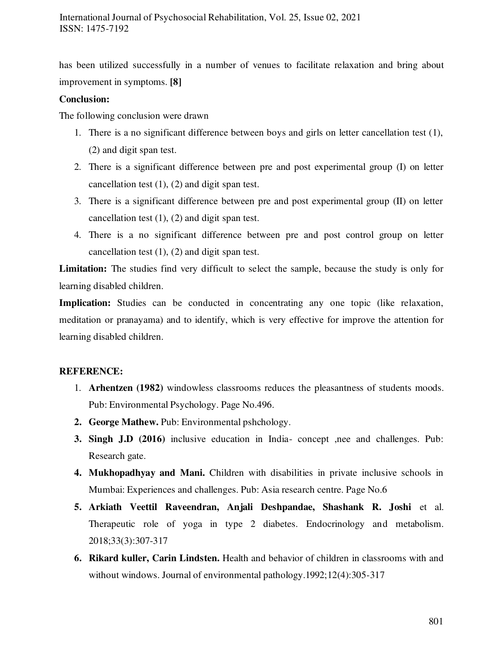has been utilized successfully in a number of venues to facilitate relaxation and bring about improvement in symptoms. **[8]**

## **Conclusion:**

The following conclusion were drawn

- 1. There is a no significant difference between boys and girls on letter cancellation test (1), (2) and digit span test.
- 2. There is a significant difference between pre and post experimental group (I) on letter cancellation test (1), (2) and digit span test.
- 3. There is a significant difference between pre and post experimental group (II) on letter cancellation test (1), (2) and digit span test.
- 4. There is a no significant difference between pre and post control group on letter cancellation test (1), (2) and digit span test.

**Limitation:** The studies find very difficult to select the sample, because the study is only for learning disabled children.

Implication: Studies can be conducted in concentrating any one topic (like relaxation, meditation or pranayama) and to identify, which is very effective for improve the attention for learning disabled children.

# **REFERENCE:**

- 1. **Arhentzen (1982)** windowless classrooms reduces the pleasantness of students moods. Pub: Environmental Psychology. Page No.496.
- **2. George Mathew.** Pub: Environmental pshchology.
- **3. Singh J.D (2016)** inclusive education in India- concept ,nee and challenges. Pub: Research gate.
- **4. Mukhopadhyay and Mani.** Children with disabilities in private inclusive schools in Mumbai: Experiences and challenges. Pub: Asia research centre. Page No.6
- **5. Arkiath Veettil Raveendran, Anjali Deshpandae, Shashank R. Joshi** et al. Therapeutic role of yoga in type 2 diabetes. Endocrinology and metabolism. 2018;33(3):307-317
- **6. Rikard kuller, Carin Lindsten.** Health and behavior of children in classrooms with and without windows. Journal of environmental pathology.1992;12(4):305-317